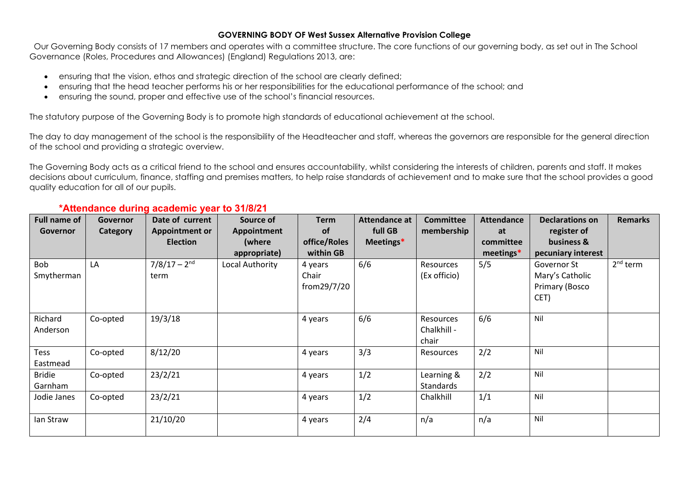## **GOVERNING BODY OF West Sussex Alternative Provision College**

Our Governing Body consists of 17 members and operates with a committee structure. The core functions of our governing body, as set out in The School Governance (Roles, Procedures and Allowances) (England) Regulations 2013, are:

- ensuring that the vision, ethos and strategic direction of the school are clearly defined;
- ensuring that the head teacher performs his or her responsibilities for the educational performance of the school; and
- ensuring the sound, proper and effective use of the school's financial resources.

The statutory purpose of the Governing Body is to promote high standards of educational achievement at the school.

The day to day management of the school is the responsibility of the Headteacher and staff, whereas the governors are responsible for the general direction of the school and providing a strategic overview.

The Governing Body acts as a critical friend to the school and ensures accountability, whilst considering the interests of children, parents and staff. It makes decisions about curriculum, finance, staffing and premises matters, to help raise standards of achievement and to make sure that the school provides a good quality education for all of our pupils.

| <b>Full name of</b><br>Governor | <b>Governor</b><br>Category | Date of current<br><b>Appointment or</b><br><b>Election</b> | Source of<br>Appointment<br>(where | <b>Term</b><br><b>of</b><br>office/Roles | Attendance at<br>full GB<br>Meetings* | <b>Committee</b><br>membership    | <b>Attendance</b><br>at<br>committee | <b>Declarations on</b><br>register of<br>business &      | <b>Remarks</b> |
|---------------------------------|-----------------------------|-------------------------------------------------------------|------------------------------------|------------------------------------------|---------------------------------------|-----------------------------------|--------------------------------------|----------------------------------------------------------|----------------|
|                                 |                             |                                                             | appropriate)                       | within GB                                |                                       |                                   | $meetings*$                          | pecuniary interest                                       |                |
| Bob<br>Smytherman               | LA                          | $7/8/17 - 2^{nd}$<br>term                                   | Local Authority                    | 4 years<br>Chair<br>from29/7/20          | 6/6                                   | Resources<br>(Ex officio)         | 5/5                                  | Governor St<br>Mary's Catholic<br>Primary (Bosco<br>CET) | $2nd$ term     |
| Richard<br>Anderson             | Co-opted                    | 19/3/18                                                     |                                    | 4 years                                  | 6/6                                   | Resources<br>Chalkhill -<br>chair | 6/6                                  | Nil                                                      |                |
| Tess<br>Eastmead                | Co-opted                    | 8/12/20                                                     |                                    | 4 years                                  | 3/3                                   | Resources                         | 2/2                                  | Nil                                                      |                |
| <b>Bridie</b><br>Garnham        | Co-opted                    | 23/2/21                                                     |                                    | 4 years                                  | 1/2                                   | Learning &<br>Standards           | 2/2                                  | Nil                                                      |                |
| Jodie Janes                     | Co-opted                    | 23/2/21                                                     |                                    | 4 years                                  | 1/2                                   | Chalkhill                         | 1/1                                  | Nil                                                      |                |
| lan Straw                       |                             | 21/10/20                                                    |                                    | 4 years                                  | 2/4                                   | n/a                               | n/a                                  | Nil                                                      |                |

## **\*Attendance during academic year to 31/8/21**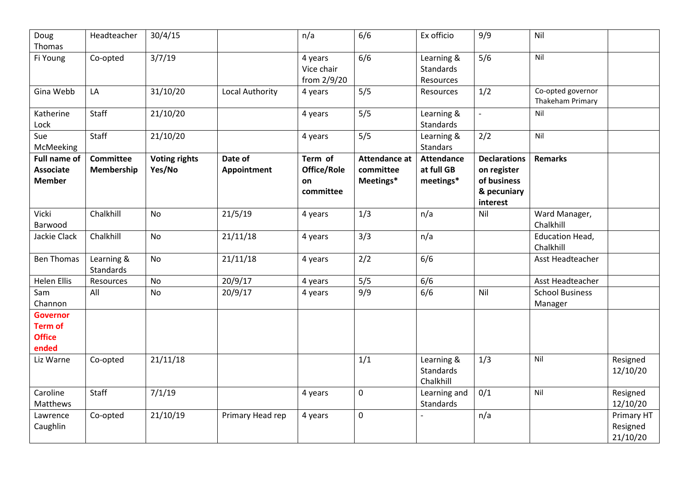| Doug<br>Thomas                                              | Headteacher                    | 30/4/15                        |                        | n/a                                       | 6/6                                            | Ex officio                                   | 9/9                                                                          | Nil                                   |                                    |
|-------------------------------------------------------------|--------------------------------|--------------------------------|------------------------|-------------------------------------------|------------------------------------------------|----------------------------------------------|------------------------------------------------------------------------------|---------------------------------------|------------------------------------|
| Fi Young                                                    | Co-opted                       | 3/7/19                         |                        | 4 years<br>Vice chair<br>from 2/9/20      | 6/6                                            | Learning &<br>Standards<br>Resources         | 5/6                                                                          | Nil                                   |                                    |
| Gina Webb                                                   | LA                             | 31/10/20                       | Local Authority        | 4 years                                   | 5/5                                            | Resources                                    | 1/2                                                                          | Co-opted governor<br>Thakeham Primary |                                    |
| Katherine<br>Lock                                           | Staff                          | 21/10/20                       |                        | 4 years                                   | 5/5                                            | Learning &<br>Standards                      | $\overline{a}$                                                               | Nil                                   |                                    |
| Sue<br>McMeeking                                            | Staff                          | 21/10/20                       |                        | 4 years                                   | 5/5                                            | Learning &<br><b>Standars</b>                | 2/2                                                                          | Nil                                   |                                    |
| <b>Full name of</b><br><b>Associate</b><br><b>Member</b>    | <b>Committee</b><br>Membership | <b>Voting rights</b><br>Yes/No | Date of<br>Appointment | Term of<br>Office/Role<br>on<br>committee | <b>Attendance at</b><br>committee<br>Meetings* | <b>Attendance</b><br>at full GB<br>meetings* | <b>Declarations</b><br>on register<br>of business<br>& pecuniary<br>interest | <b>Remarks</b>                        |                                    |
| Vicki<br>Barwood                                            | Chalkhill                      | No                             | 21/5/19                | 4 years                                   | 1/3                                            | n/a                                          | Nil                                                                          | Ward Manager,<br>Chalkhill            |                                    |
| Jackie Clack                                                | Chalkhill                      | No                             | 21/11/18               | 4 years                                   | 3/3                                            | n/a                                          |                                                                              | <b>Education Head,</b><br>Chalkhill   |                                    |
| <b>Ben Thomas</b>                                           | Learning &<br>Standards        | No                             | 21/11/18               | 4 years                                   | 2/2                                            | 6/6                                          |                                                                              | Asst Headteacher                      |                                    |
| <b>Helen Ellis</b>                                          | Resources                      | <b>No</b>                      | 20/9/17                | 4 years                                   | 5/5                                            | 6/6                                          |                                                                              | Asst Headteacher                      |                                    |
| Sam<br>Channon                                              | All                            | No                             | 20/9/17                | 4 years                                   | 9/9                                            | 6/6                                          | Nil                                                                          | <b>School Business</b><br>Manager     |                                    |
| <b>Governor</b><br><b>Term of</b><br><b>Office</b><br>ended |                                |                                |                        |                                           |                                                |                                              |                                                                              |                                       |                                    |
| Liz Warne                                                   | Co-opted                       | 21/11/18                       |                        |                                           | 1/1                                            | Learning &<br>Standards<br>Chalkhill         | 1/3                                                                          | Nil                                   | Resigned<br>12/10/20               |
| Caroline<br>Matthews                                        | Staff                          | 7/1/19                         |                        | 4 years                                   | $\mathbf 0$                                    | Learning and<br>Standards                    | 0/1                                                                          | Nil                                   | Resigned<br>12/10/20               |
| Lawrence<br>Caughlin                                        | Co-opted                       | 21/10/19                       | Primary Head rep       | 4 years                                   | $\mathbf 0$                                    |                                              | n/a                                                                          |                                       | Primary HT<br>Resigned<br>21/10/20 |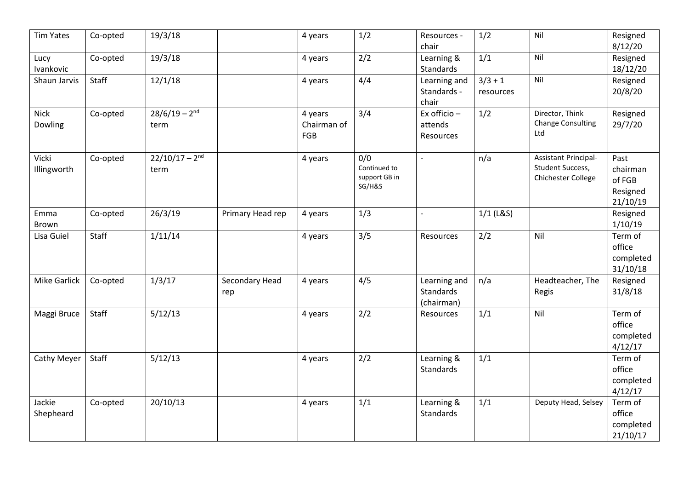| <b>Tim Yates</b>       | Co-opted | 19/3/18                   |                       | 4 years                              | 1/2                                            | Resources -<br>chair                    | 1/2                    | Nil                                                                   | Resigned<br>8/12/20                                |
|------------------------|----------|---------------------------|-----------------------|--------------------------------------|------------------------------------------------|-----------------------------------------|------------------------|-----------------------------------------------------------------------|----------------------------------------------------|
| Lucy<br>Ivankovic      | Co-opted | 19/3/18                   |                       | 4 years                              | 2/2                                            | Learning &<br>Standards                 | 1/1                    | Nil                                                                   | Resigned<br>18/12/20                               |
| Shaun Jarvis           | Staff    | 12/1/18                   |                       | 4 years                              | 4/4                                            | Learning and<br>Standards -<br>chair    | $3/3 + 1$<br>resources | Nil                                                                   | Resigned<br>20/8/20                                |
| <b>Nick</b><br>Dowling | Co-opted | $28/6/19-2^{nd}$<br>term  |                       | 4 years<br>Chairman of<br><b>FGB</b> | 3/4                                            | Ex officio -<br>attends<br>Resources    | 1/2                    | Director, Think<br><b>Change Consulting</b><br>Ltd                    | Resigned<br>29/7/20                                |
| Vicki<br>Illingworth   | Co-opted | $22/10/17-2^{nd}$<br>term |                       | 4 years                              | 0/0<br>Continued to<br>support GB in<br>SG/H&S | $\sim$                                  | n/a                    | <b>Assistant Principal-</b><br>Student Success,<br>Chichester College | Past<br>chairman<br>of FGB<br>Resigned<br>21/10/19 |
| Emma<br>Brown          | Co-opted | 26/3/19                   | Primary Head rep      | 4 years                              | 1/3                                            | $\overline{\phantom{a}}$                | $1/1$ (L&S)            |                                                                       | Resigned<br>1/10/19                                |
| Lisa Guiel             | Staff    | 1/11/14                   |                       | 4 years                              | 3/5                                            | Resources                               | 2/2                    | Nil                                                                   | Term of<br>office<br>completed<br>31/10/18         |
| <b>Mike Garlick</b>    | Co-opted | 1/3/17                    | Secondary Head<br>rep | 4 years                              | 4/5                                            | Learning and<br>Standards<br>(chairman) | n/a                    | Headteacher, The<br>Regis                                             | Resigned<br>31/8/18                                |
| Maggi Bruce            | Staff    | 5/12/13                   |                       | 4 years                              | 2/2                                            | Resources                               | 1/1                    | Nil                                                                   | Term of<br>office<br>completed<br>4/12/17          |
| Cathy Meyer            | Staff    | 5/12/13                   |                       | 4 years                              | 2/2                                            | Learning &<br>Standards                 | 1/1                    |                                                                       | Term of<br>office<br>completed<br>4/12/17          |
| Jackie<br>Shepheard    | Co-opted | 20/10/13                  |                       | 4 years                              | 1/1                                            | Learning &<br>Standards                 | 1/1                    | Deputy Head, Selsey                                                   | Term of<br>office<br>completed<br>21/10/17         |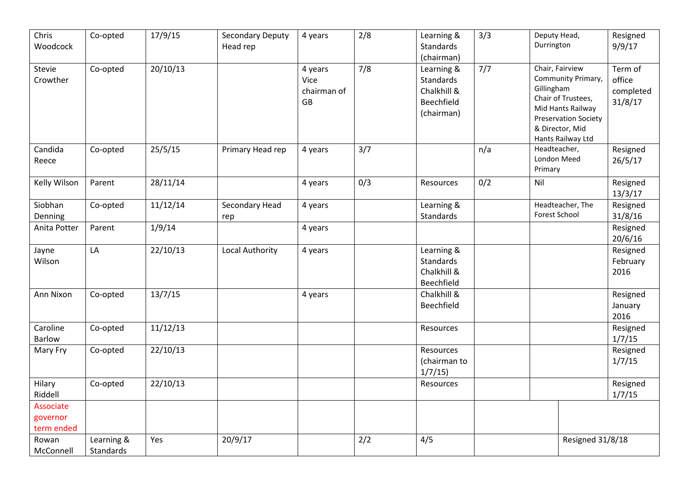| Chris<br>Woodcock                   | Co-opted                | 17/9/15  | Secondary Deputy<br>Head rep | 4 years                                     | 2/8 | Learning &<br>Standards<br>(chairman)                              | 3/3 | Deputy Head,<br>Durrington             |                                                                                                                                                         | Resigned<br>9/9/17                        |
|-------------------------------------|-------------------------|----------|------------------------------|---------------------------------------------|-----|--------------------------------------------------------------------|-----|----------------------------------------|---------------------------------------------------------------------------------------------------------------------------------------------------------|-------------------------------------------|
| Stevie<br>Crowther                  | Co-opted                | 20/10/13 |                              | 4 years<br>Vice<br>chairman of<br><b>GB</b> | 7/8 | Learning &<br>Standards<br>Chalkhill &<br>Beechfield<br>(chairman) | 7/7 | Gillingham                             | Chair, Fairview<br>Community Primary,<br>Chair of Trustees,<br>Mid Hants Railway<br><b>Preservation Society</b><br>& Director, Mid<br>Hants Railway Ltd | Term of<br>office<br>completed<br>31/8/17 |
| Candida<br>Reece                    | Co-opted                | 25/5/15  | Primary Head rep             | 4 years                                     | 3/7 |                                                                    | n/a | Headteacher,<br>London Meed<br>Primary |                                                                                                                                                         | Resigned<br>26/5/17                       |
| Kelly Wilson                        | Parent                  | 28/11/14 |                              | 4 years                                     | 0/3 | Resources                                                          | 0/2 | Nil                                    |                                                                                                                                                         | Resigned<br>13/3/17                       |
| Siobhan<br><b>Denning</b>           | Co-opted                | 11/12/14 | Secondary Head<br>rep        | 4 years                                     |     | Learning &<br>Standards                                            |     | Forest School                          | Headteacher, The                                                                                                                                        | Resigned<br>31/8/16                       |
| Anita Potter                        | Parent                  | 1/9/14   |                              | 4 years                                     |     |                                                                    |     |                                        |                                                                                                                                                         | Resigned<br>20/6/16                       |
| Jayne<br>Wilson                     | LA                      | 22/10/13 | Local Authority              | 4 years                                     |     | Learning &<br>Standards<br>Chalkhill &<br>Beechfield               |     |                                        |                                                                                                                                                         | Resigned<br>February<br>2016              |
| Ann Nixon                           | Co-opted                | 13/7/15  |                              | 4 years                                     |     | Chalkhill &<br>Beechfield                                          |     |                                        |                                                                                                                                                         | Resigned<br>January<br>2016               |
| Caroline<br><b>Barlow</b>           | Co-opted                | 11/12/13 |                              |                                             |     | Resources                                                          |     |                                        |                                                                                                                                                         | Resigned<br>1/7/15                        |
| Mary Fry                            | Co-opted                | 22/10/13 |                              |                                             |     | Resources<br>(chairman to<br>1/7/15                                |     |                                        |                                                                                                                                                         | Resigned<br>1/7/15                        |
| Hilary<br>Riddell                   | Co-opted                | 22/10/13 |                              |                                             |     | Resources                                                          |     |                                        |                                                                                                                                                         | Resigned<br>1/7/15                        |
| Associate<br>governor<br>term ended |                         |          |                              |                                             |     |                                                                    |     |                                        |                                                                                                                                                         |                                           |
| Rowan<br>McConnell                  | Learning &<br>Standards | Yes      | 20/9/17                      |                                             | 2/2 | 4/5                                                                |     |                                        | Resigned 31/8/18                                                                                                                                        |                                           |